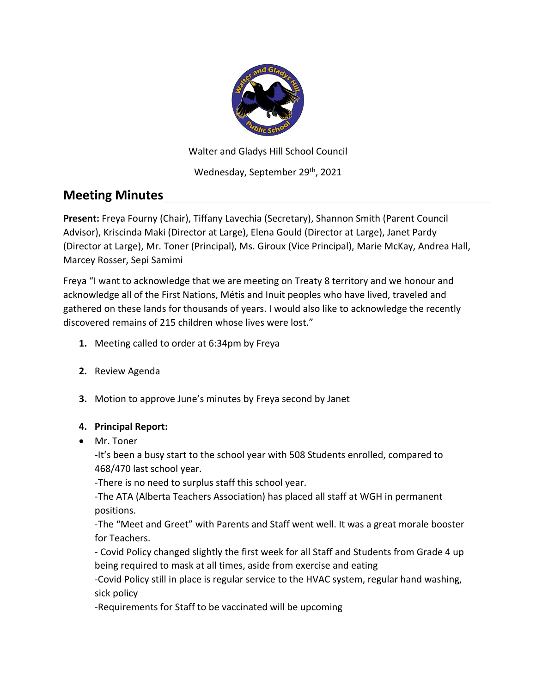

Walter and Gladys Hill School Council

Wednesday, September 29th, 2021

# **Meeting Minutes**

**Present:** Freya Fourny (Chair), Tiffany Lavechia (Secretary), Shannon Smith (Parent Council Advisor), Kriscinda Maki (Director at Large), Elena Gould (Director at Large), Janet Pardy (Director at Large), Mr. Toner (Principal), Ms. Giroux (Vice Principal), Marie McKay, Andrea Hall, Marcey Rosser, Sepi Samimi

Freya "I want to acknowledge that we are meeting on Treaty 8 territory and we honour and acknowledge all of the First Nations, Métis and Inuit peoples who have lived, traveled and gathered on these lands for thousands of years. I would also like to acknowledge the recently discovered remains of 215 children whose lives were lost."

- **1.** Meeting called to order at 6:34pm by Freya
- **2.** Review Agenda
- **3.** Motion to approve June's minutes by Freya second by Janet

#### **4. Principal Report:**

• Mr. Toner

-It's been a busy start to the school year with 508 Students enrolled, compared to 468/470 last school year.

-There is no need to surplus staff this school year.

-The ATA (Alberta Teachers Association) has placed all staff at WGH in permanent positions.

-The "Meet and Greet" with Parents and Staff went well. It was a great morale booster for Teachers.

- Covid Policy changed slightly the first week for all Staff and Students from Grade 4 up being required to mask at all times, aside from exercise and eating

-Covid Policy still in place is regular service to the HVAC system, regular hand washing, sick policy

-Requirements for Staff to be vaccinated will be upcoming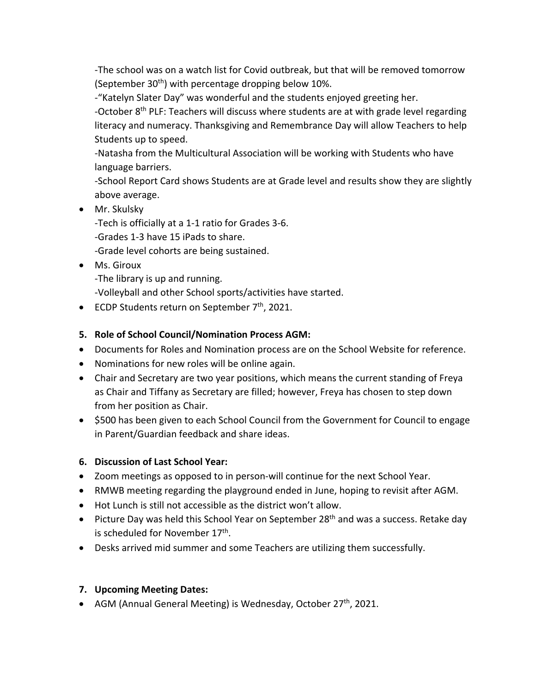-The school was on a watch list for Covid outbreak, but that will be removed tomorrow (September 30<sup>th</sup>) with percentage dropping below 10%.

-"Katelyn Slater Day" was wonderful and the students enjoyed greeting her.

-October 8<sup>th</sup> PLF: Teachers will discuss where students are at with grade level regarding literacy and numeracy. Thanksgiving and Remembrance Day will allow Teachers to help Students up to speed.

-Natasha from the Multicultural Association will be working with Students who have language barriers.

-School Report Card shows Students are at Grade level and results show they are slightly above average.

• Mr. Skulsky

-Tech is officially at a 1-1 ratio for Grades 3-6.

-Grades 1-3 have 15 iPads to share.

-Grade level cohorts are being sustained.

• Ms. Giroux

-The library is up and running.

-Volleyball and other School sports/activities have started.

• ECDP Students return on September 7<sup>th</sup>, 2021.

# **5. Role of School Council/Nomination Process AGM:**

- Documents for Roles and Nomination process are on the School Website for reference.
- Nominations for new roles will be online again.
- Chair and Secretary are two year positions, which means the current standing of Freya as Chair and Tiffany as Secretary are filled; however, Freya has chosen to step down from her position as Chair.
- \$500 has been given to each School Council from the Government for Council to engage in Parent/Guardian feedback and share ideas.

## **6. Discussion of Last School Year:**

- Zoom meetings as opposed to in person-will continue for the next School Year.
- RMWB meeting regarding the playground ended in June, hoping to revisit after AGM.
- Hot Lunch is still not accessible as the district won't allow.
- Picture Day was held this School Year on September 28<sup>th</sup> and was a success. Retake day is scheduled for November 17<sup>th</sup>.
- Desks arrived mid summer and some Teachers are utilizing them successfully.

## **7. Upcoming Meeting Dates:**

• AGM (Annual General Meeting) is Wednesday, October 27<sup>th</sup>, 2021.